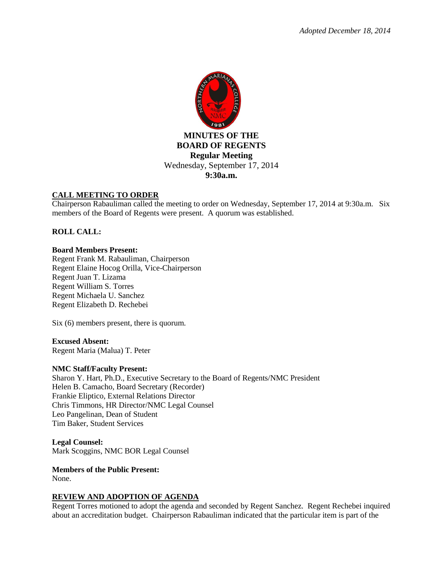

# **CALL MEETING TO ORDER**

Chairperson Rabauliman called the meeting to order on Wednesday, September 17, 2014 at 9:30a.m. Six members of the Board of Regents were present. A quorum was established.

# **ROLL CALL:**

### **Board Members Present:**

Regent Frank M. Rabauliman, Chairperson Regent Elaine Hocog Orilla, Vice-Chairperson Regent Juan T. Lizama Regent William S. Torres Regent Michaela U. Sanchez Regent Elizabeth D. Rechebei

Six (6) members present, there is quorum.

### **Excused Absent:**

Regent Maria (Malua) T. Peter

### **NMC Staff/Faculty Present:**

Sharon Y. Hart, Ph.D., Executive Secretary to the Board of Regents/NMC President Helen B. Camacho, Board Secretary (Recorder) Frankie Eliptico, External Relations Director Chris Timmons, HR Director/NMC Legal Counsel Leo Pangelinan, Dean of Student Tim Baker, Student Services

**Legal Counsel:** Mark Scoggins, NMC BOR Legal Counsel

**Members of the Public Present:**  None.

### **REVIEW AND ADOPTION OF AGENDA**

Regent Torres motioned to adopt the agenda and seconded by Regent Sanchez. Regent Rechebei inquired about an accreditation budget. Chairperson Rabauliman indicated that the particular item is part of the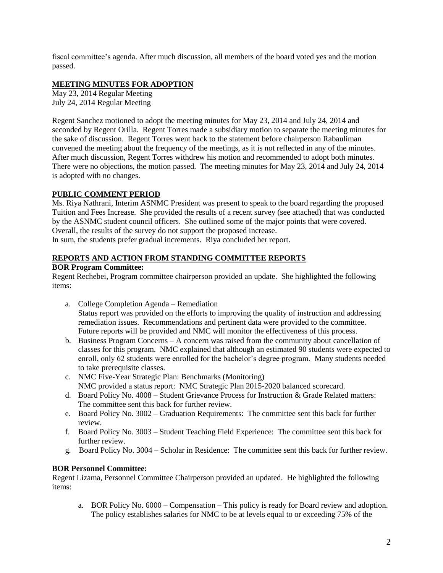fiscal committee's agenda. After much discussion, all members of the board voted yes and the motion passed.

## **MEETING MINUTES FOR ADOPTION**

May 23, 2014 Regular Meeting July 24, 2014 Regular Meeting

Regent Sanchez motioned to adopt the meeting minutes for May 23, 2014 and July 24, 2014 and seconded by Regent Orilla. Regent Torres made a subsidiary motion to separate the meeting minutes for the sake of discussion. Regent Torres went back to the statement before chairperson Rabauliman convened the meeting about the frequency of the meetings, as it is not reflected in any of the minutes. After much discussion, Regent Torres withdrew his motion and recommended to adopt both minutes. There were no objections, the motion passed. The meeting minutes for May 23, 2014 and July 24, 2014 is adopted with no changes.

### **PUBLIC COMMENT PERIOD**

Ms. Riya Nathrani, Interim ASNMC President was present to speak to the board regarding the proposed Tuition and Fees Increase. She provided the results of a recent survey (see attached) that was conducted by the ASNMC student council officers. She outlined some of the major points that were covered. Overall, the results of the survey do not support the proposed increase. In sum, the students prefer gradual increments. Riya concluded her report.

## **REPORTS AND ACTION FROM STANDING COMMITTEE REPORTS**

### **BOR Program Committee:**

Regent Rechebei, Program committee chairperson provided an update. She highlighted the following items:

- a. College Completion Agenda Remediation Status report was provided on the efforts to improving the quality of instruction and addressing remediation issues. Recommendations and pertinent data were provided to the committee. Future reports will be provided and NMC will monitor the effectiveness of this process.
- b. Business Program Concerns A concern was raised from the community about cancellation of classes for this program. NMC explained that although an estimated 90 students were expected to enroll, only 62 students were enrolled for the bachelor's degree program. Many students needed to take prerequisite classes.
- c. NMC Five-Year Strategic Plan: Benchmarks (Monitoring) NMC provided a status report: NMC Strategic Plan 2015-2020 balanced scorecard.
- d. Board Policy No. 4008 Student Grievance Process for Instruction & Grade Related matters: The committee sent this back for further review.
- e. Board Policy No. 3002 Graduation Requirements: The committee sent this back for further review.
- f. Board Policy No. 3003 Student Teaching Field Experience: The committee sent this back for further review.
- g. Board Policy No. 3004 Scholar in Residence: The committee sent this back for further review.

# **BOR Personnel Committee:**

Regent Lizama, Personnel Committee Chairperson provided an updated. He highlighted the following items:

a. BOR Policy No. 6000 – Compensation – This policy is ready for Board review and adoption. The policy establishes salaries for NMC to be at levels equal to or exceeding 75% of the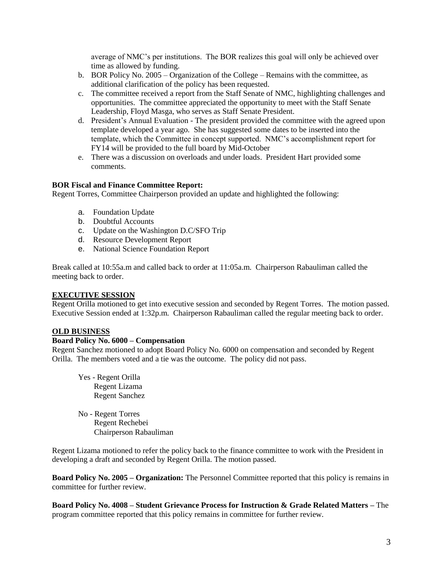average of NMC's per institutions. The BOR realizes this goal will only be achieved over time as allowed by funding.

- b. BOR Policy No. 2005 Organization of the College Remains with the committee, as additional clarification of the policy has been requested.
- c. The committee received a report from the Staff Senate of NMC, highlighting challenges and opportunities. The committee appreciated the opportunity to meet with the Staff Senate Leadership, Floyd Masga, who serves as Staff Senate President.
- d. President's Annual Evaluation The president provided the committee with the agreed upon template developed a year ago. She has suggested some dates to be inserted into the template, which the Committee in concept supported. NMC's accomplishment report for FY14 will be provided to the full board by Mid-October
- e. There was a discussion on overloads and under loads. President Hart provided some comments.

# **BOR Fiscal and Finance Committee Report:**

Regent Torres, Committee Chairperson provided an update and highlighted the following:

- a. Foundation Update
- b. Doubtful Accounts
- c. Update on the Washington D.C/SFO Trip
- d. Resource Development Report
- e. National Science Foundation Report

Break called at 10:55a.m and called back to order at 11:05a.m. Chairperson Rabauliman called the meeting back to order.

### **EXECUTIVE SESSION**

Regent Orilla motioned to get into executive session and seconded by Regent Torres. The motion passed. Executive Session ended at 1:32p.m. Chairperson Rabauliman called the regular meeting back to order.

### **OLD BUSINESS**

### **Board Policy No. 6000 – Compensation**

Regent Sanchez motioned to adopt Board Policy No. 6000 on compensation and seconded by Regent Orilla. The members voted and a tie was the outcome. The policy did not pass.

- Yes Regent Orilla Regent Lizama Regent Sanchez
- No Regent Torres Regent Rechebei Chairperson Rabauliman

Regent Lizama motioned to refer the policy back to the finance committee to work with the President in developing a draft and seconded by Regent Orilla. The motion passed.

**Board Policy No. 2005 – Organization:** The Personnel Committee reported that this policy is remains in committee for further review.

**Board Policy No. 4008 – Student Grievance Process for Instruction & Grade Related Matters –** The program committee reported that this policy remains in committee for further review.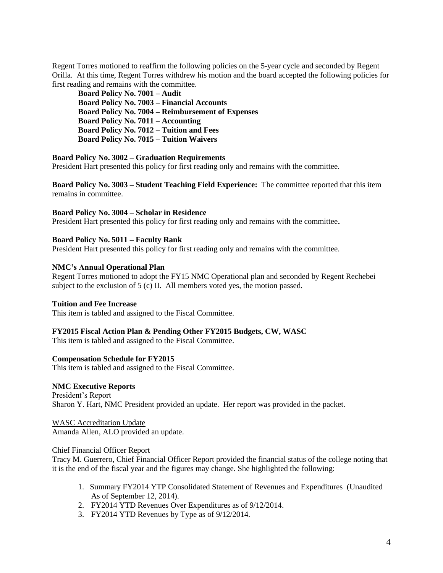Regent Torres motioned to reaffirm the following policies on the 5-year cycle and seconded by Regent Orilla. At this time, Regent Torres withdrew his motion and the board accepted the following policies for first reading and remains with the committee.

**Board Policy No. 7001 – Audit Board Policy No. 7003 – Financial Accounts Board Policy No. 7004 – Reimbursement of Expenses Board Policy No. 7011 – Accounting Board Policy No. 7012 – Tuition and Fees Board Policy No. 7015 – Tuition Waivers** 

#### **Board Policy No. 3002 – Graduation Requirements**

President Hart presented this policy for first reading only and remains with the committee.

**Board Policy No. 3003 – Student Teaching Field Experience:** The committee reported that this item remains in committee.

**Board Policy No. 3004 – Scholar in Residence** 

President Hart presented this policy for first reading only and remains with the committee**.** 

#### **Board Policy No. 5011 – Faculty Rank**

President Hart presented this policy for first reading only and remains with the committee.

#### **NMC's Annual Operational Plan**

Regent Torres motioned to adopt the FY15 NMC Operational plan and seconded by Regent Rechebei subject to the exclusion of 5 (c) II. All members voted yes, the motion passed.

#### **Tuition and Fee Increase**

This item is tabled and assigned to the Fiscal Committee.

#### **FY2015 Fiscal Action Plan & Pending Other FY2015 Budgets, CW, WASC**

This item is tabled and assigned to the Fiscal Committee.

#### **Compensation Schedule for FY2015**

This item is tabled and assigned to the Fiscal Committee.

## **NMC Executive Reports**

President's Report Sharon Y. Hart, NMC President provided an update. Her report was provided in the packet.

WASC Accreditation Update Amanda Allen, ALO provided an update.

#### Chief Financial Officer Report

Tracy M. Guerrero, Chief Financial Officer Report provided the financial status of the college noting that it is the end of the fiscal year and the figures may change. She highlighted the following:

- 1. Summary FY2014 YTP Consolidated Statement of Revenues and Expenditures (Unaudited As of September 12, 2014).
- 2. FY2014 YTD Revenues Over Expenditures as of 9/12/2014.
- 3. FY2014 YTD Revenues by Type as of 9/12/2014.